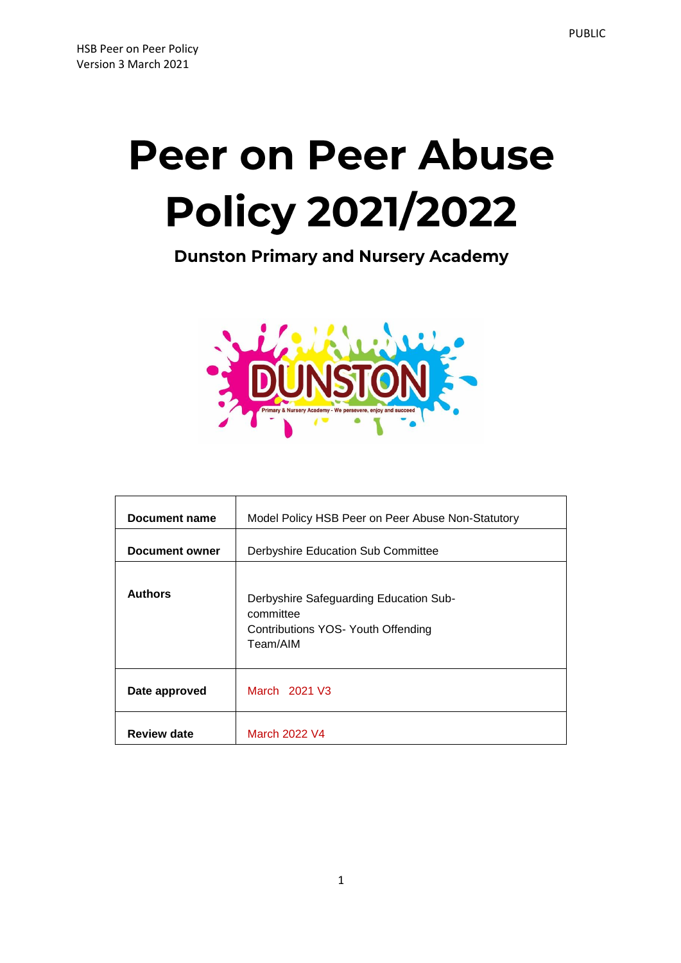# **Peer on Peer Abuse Policy 2021/2022**

**Dunston Primary and Nursery Academy** 



| Document name      | Model Policy HSB Peer on Peer Abuse Non-Statutory                                                     |
|--------------------|-------------------------------------------------------------------------------------------------------|
| Document owner     | Derbyshire Education Sub Committee                                                                    |
| <b>Authors</b>     | Derbyshire Safeguarding Education Sub-<br>committee<br>Contributions YOS- Youth Offending<br>Team/AIM |
| Date approved      | March 2021 V3                                                                                         |
| <b>Review date</b> | March 2022 V4                                                                                         |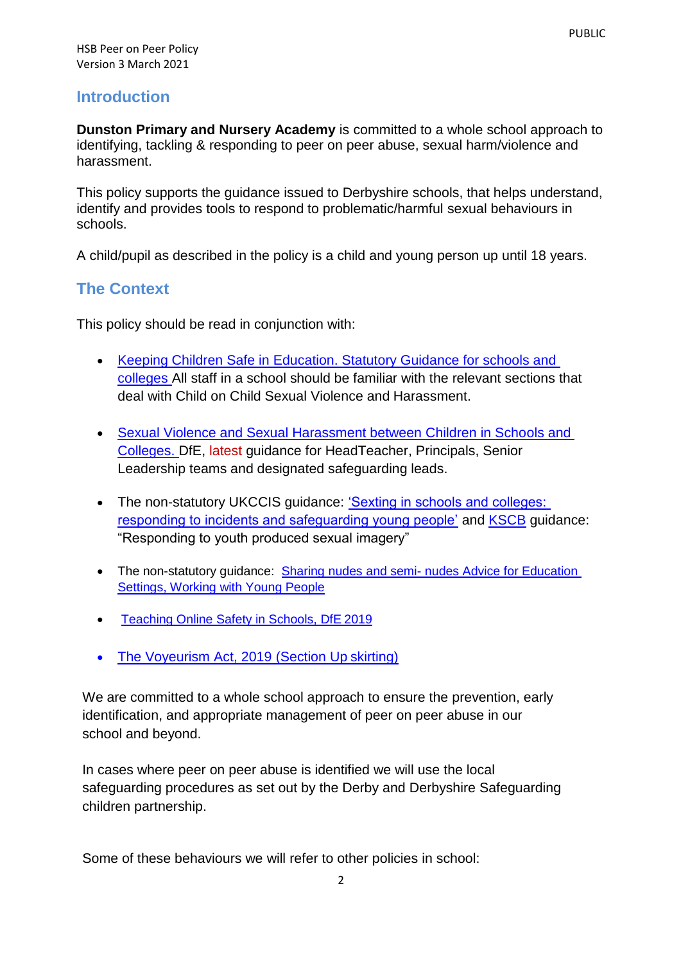#### **Introduction**

**Dunston Primary and Nursery Academy** is committed to a whole school approach to identifying, tackling & responding to peer on peer abuse, sexual harm/violence and harassment.

This policy supports the guidance issued to Derbyshire schools, that helps understand, identify and provides tools to respond to problematic/harmful sexual behaviours in schools.

A child/pupil as described in the policy is a child and young person up until 18 years.

#### **The Context**

This policy should be read in conjunction with:

- [Keeping Children Safe in Education. Statutory Guidance for schools and](https://www.gov.uk/government/publications/keeping-children-safe-in-education--2)  [colleges A](https://www.gov.uk/government/publications/keeping-children-safe-in-education--2)ll staff in a school should be familiar with the relevant sections that deal with Child on Child Sexual Violence and Harassment.
- [Sexual Violence and Sexual Harassment between Children in Schools and](https://www.gov.uk/government/publications/sexual-violence-and-sexual-harassment-between-children-in-schools-and-colleges)  [Colleges. D](https://www.gov.uk/government/publications/sexual-violence-and-sexual-harassment-between-children-in-schools-and-colleges)fE, latest guidance for HeadTeacher, Principals, Senior Leadership teams and designated safeguarding leads.
- The non-statutory UKCCIS guidance: 'Sexting in schools and colleges: [responding to incidents and safeguarding young people'](https://www.gov.uk/government/groups/uk-council-for-child-internet-safety-ukccis) and [KSCB](http://www.kscb.org.uk/guidance/online-safety) guidance: "Responding to youth produced sexual imagery"
- The non-statutory guidance: Sharing nudes and semi- nudes Advice for Education [Settings, Working with Young People](file:///C:/Users/katec21/Downloads/•%09https:/www.gov.uk/government/publications/sharing-nudes-and-semi-nudes-advice-for-education-settings-working-with-children-and-young-people)
- [Teaching Online Safety in Schools, DfE](https://www.gov.uk/government/publications/teaching-online-safety-in-schools) 2019
- [The Voyeurism Act, 2019 \(Section](https://www.gov.uk/government/publications/implementation-of-the-voyeurism-offences-act-2019) Up skirting)

We are committed to a whole school approach to ensure the prevention, early identification, and appropriate management of peer on peer abuse in our school and beyond.

In cases where peer on peer abuse is identified we will use the local safeguarding procedures as set out by the Derby and Derbyshire Safeguarding children partnership.

Some of these behaviours we will refer to other policies in school: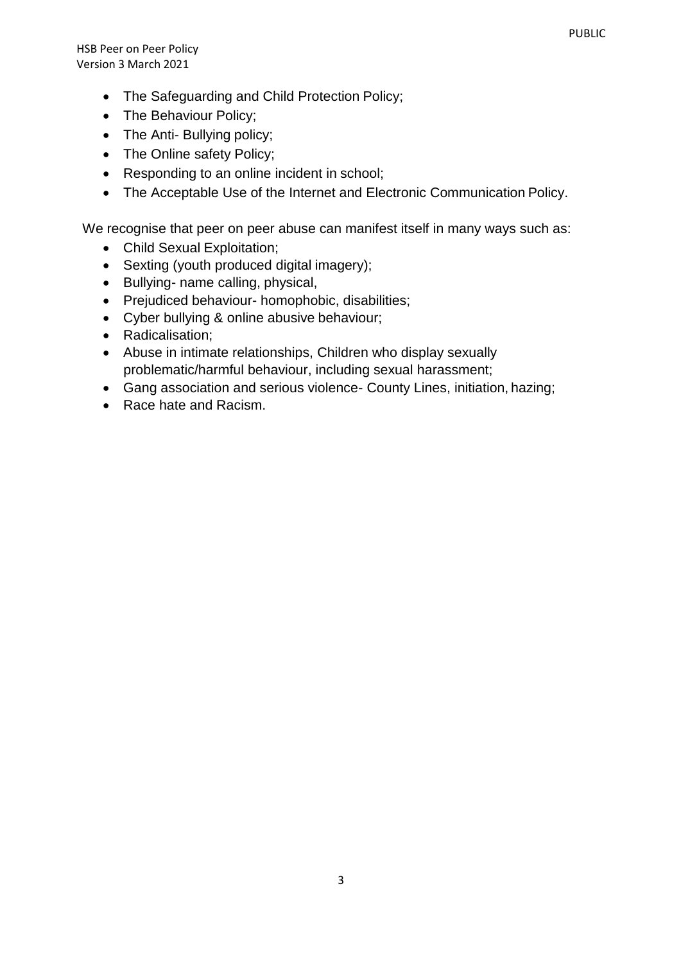HSB Peer on Peer Policy Version 3 March 2021

- The Safeguarding and Child Protection Policy;
- The Behaviour Policy;
- The Anti- Bullying policy;
- The Online safety Policy;
- Responding to an online incident in school;
- The Acceptable Use of the Internet and Electronic Communication Policy.

We recognise that peer on peer abuse can manifest itself in many ways such as:

- Child Sexual Exploitation;
- Sexting (youth produced digital imagery);
- Bullying- name calling, physical,
- Prejudiced behaviour- homophobic, disabilities;
- Cyber bullying & online abusive behaviour;
- Radicalisation;
- Abuse in intimate relationships, Children who display sexually problematic/harmful behaviour, including sexual harassment;
- Gang association and serious violence- County Lines, initiation, hazing;
- Race hate and Racism.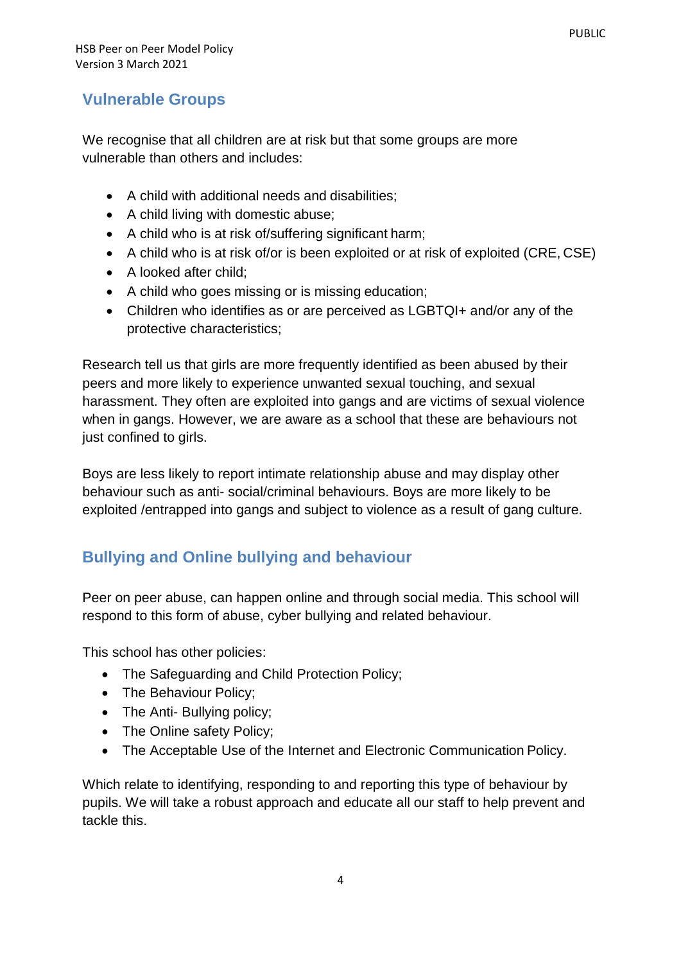## **Vulnerable Groups**

We recognise that all children are at risk but that some groups are more vulnerable than others and includes:

- A child with additional needs and disabilities;
- A child living with domestic abuse;
- A child who is at risk of/suffering significant harm;
- A child who is at risk of/or is been exploited or at risk of exploited (CRE, CSE)
- A looked after child:
- A child who goes missing or is missing education;
- Children who identifies as or are perceived as LGBTQI+ and/or any of the protective characteristics;

Research tell us that girls are more frequently identified as been abused by their peers and more likely to experience unwanted sexual touching, and sexual harassment. They often are exploited into gangs and are victims of sexual violence when in gangs. However, we are aware as a school that these are behaviours not just confined to girls.

Boys are less likely to report intimate relationship abuse and may display other behaviour such as anti- social/criminal behaviours. Boys are more likely to be exploited /entrapped into gangs and subject to violence as a result of gang culture.

# **Bullying and Online bullying and behaviour**

Peer on peer abuse, can happen online and through social media. This school will respond to this form of abuse, cyber bullying and related behaviour.

This school has other policies:

- The Safeguarding and Child Protection Policy;
- The Behaviour Policy;
- The Anti- Bullying policy;
- The Online safety Policy;
- The Acceptable Use of the Internet and Electronic Communication Policy.

Which relate to identifying, responding to and reporting this type of behaviour by pupils. We will take a robust approach and educate all our staff to help prevent and tackle this.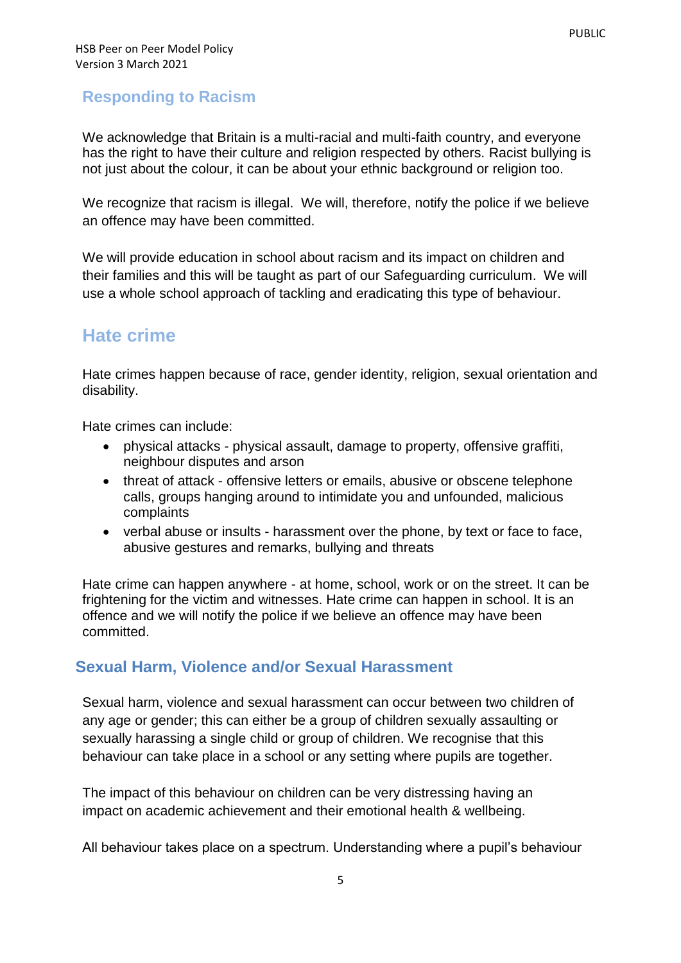### **Responding to Racism**

We acknowledge that Britain is a multi-racial and multi-faith country, and everyone has the right to have their culture and religion respected by others. Racist bullying is not just about the colour, it can be about your ethnic background or religion too.

We recognize that racism is illegal. We will, therefore, notify the police if we believe an offence may have been committed.

We will provide education in school about racism and its impact on children and their families and this will be taught as part of our Safeguarding curriculum. We will use a whole school approach of tackling and eradicating this type of behaviour.

# **Hate crime**

Hate crimes happen because of race, gender identity, religion, sexual orientation and disability.

Hate crimes can include:

- physical attacks physical assault, damage to property, offensive graffiti, neighbour disputes and arson
- threat of attack offensive letters or emails, abusive or obscene telephone calls, groups hanging around to intimidate you and unfounded, malicious complaints
- verbal abuse or insults harassment over the phone, by text or face to face, abusive gestures and remarks, bullying and threats

Hate crime can happen anywhere - at home, school, work or on the street. It can be frightening for the victim and witnesses. Hate crime can happen in school. It is an offence and we will notify the police if we believe an offence may have been committed.

## **Sexual Harm, Violence and/or Sexual Harassment**

Sexual harm, violence and sexual harassment can occur between two children of any age or gender; this can either be a group of children sexually assaulting or sexually harassing a single child or group of children. We recognise that this behaviour can take place in a school or any setting where pupils are together.

The impact of this behaviour on children can be very distressing having an impact on academic achievement and their emotional health & wellbeing.

All behaviour takes place on a spectrum. Understanding where a pupil's behaviour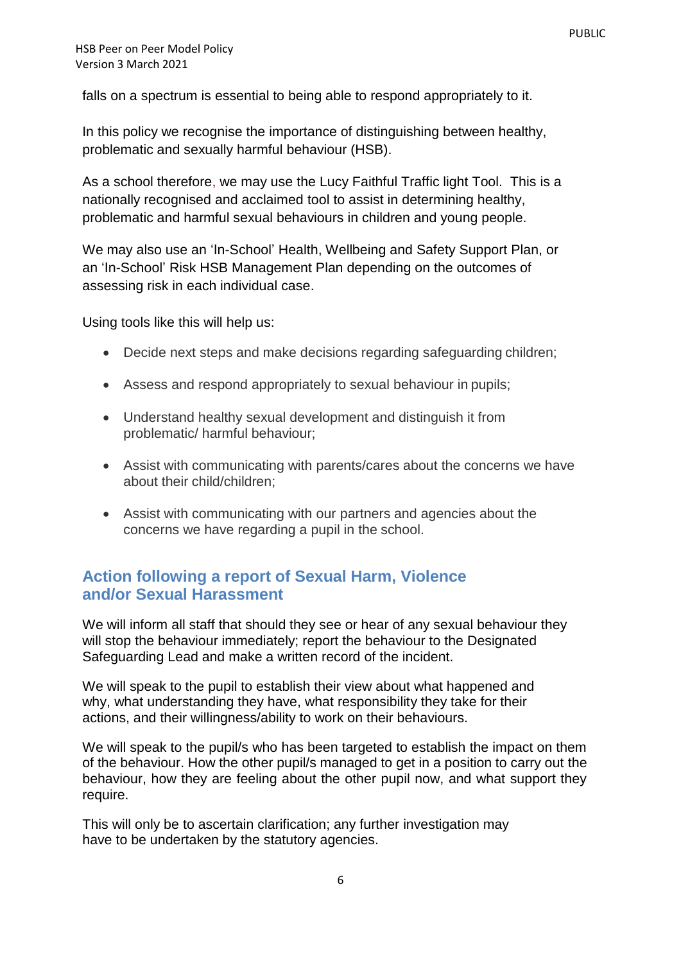falls on a spectrum is essential to being able to respond appropriately to it.

In this policy we recognise the importance of distinguishing between healthy, problematic and sexually harmful behaviour (HSB).

As a school therefore, we may use the Lucy Faithful Traffic light Tool. This is a nationally recognised and acclaimed tool to assist in determining healthy, problematic and harmful sexual behaviours in children and young people.

We may also use an 'In-School' Health, Wellbeing and Safety Support Plan, or an 'In-School' Risk HSB Management Plan depending on the outcomes of assessing risk in each individual case.

Using tools like this will help us:

- Decide next steps and make decisions regarding safeguarding children;
- Assess and respond appropriately to sexual behaviour in pupils;
- Understand healthy sexual development and distinguish it from problematic/ harmful behaviour;
- Assist with communicating with parents/cares about the concerns we have about their child/children;
- Assist with communicating with our partners and agencies about the concerns we have regarding a pupil in the school.

#### **Action following a report of Sexual Harm, Violence and/or Sexual Harassment**

We will inform all staff that should they see or hear of any sexual behaviour they will stop the behaviour immediately; report the behaviour to the Designated Safeguarding Lead and make a written record of the incident.

We will speak to the pupil to establish their view about what happened and why, what understanding they have, what responsibility they take for their actions, and their willingness/ability to work on their behaviours.

We will speak to the pupil/s who has been targeted to establish the impact on them of the behaviour. How the other pupil/s managed to get in a position to carry out the behaviour, how they are feeling about the other pupil now, and what support they require.

This will only be to ascertain clarification; any further investigation may have to be undertaken by the statutory agencies.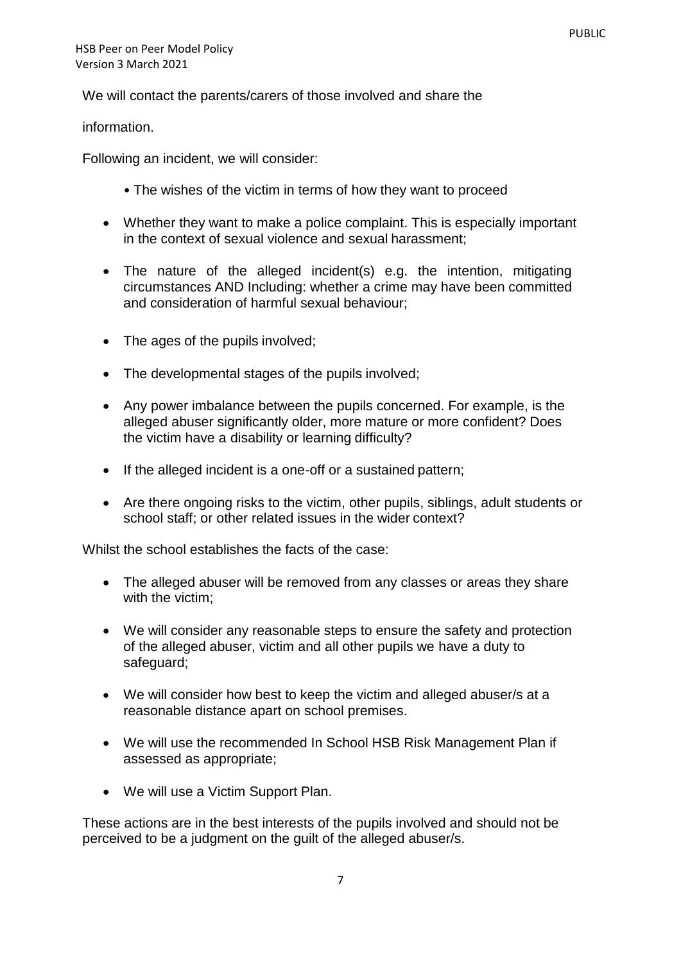We will contact the parents/carers of those involved and share the

information.

Following an incident, we will consider:

- The wishes of the victim in terms of how they want to proceed
- Whether they want to make a police complaint. This is especially important in the context of sexual violence and sexual harassment;
- The nature of the alleged incident(s) e.g. the intention, mitigating circumstances AND Including: whether a crime may have been committed and consideration of harmful sexual behaviour;
- The ages of the pupils involved;
- The developmental stages of the pupils involved;
- Any power imbalance between the pupils concerned. For example, is the alleged abuser significantly older, more mature or more confident? Does the victim have a disability or learning difficulty?
- If the alleged incident is a one-off or a sustained pattern;
- Are there ongoing risks to the victim, other pupils, siblings, adult students or school staff; or other related issues in the wider context?

Whilst the school establishes the facts of the case:

- The alleged abuser will be removed from any classes or areas they share with the victim;
- We will consider any reasonable steps to ensure the safety and protection of the alleged abuser, victim and all other pupils we have a duty to safeguard;
- We will consider how best to keep the victim and alleged abuser/s at a reasonable distance apart on school premises.
- We will use the recommended In School HSB Risk Management Plan if assessed as appropriate;
- We will use a Victim Support Plan.

These actions are in the best interests of the pupils involved and should not be perceived to be a judgment on the guilt of the alleged abuser/s.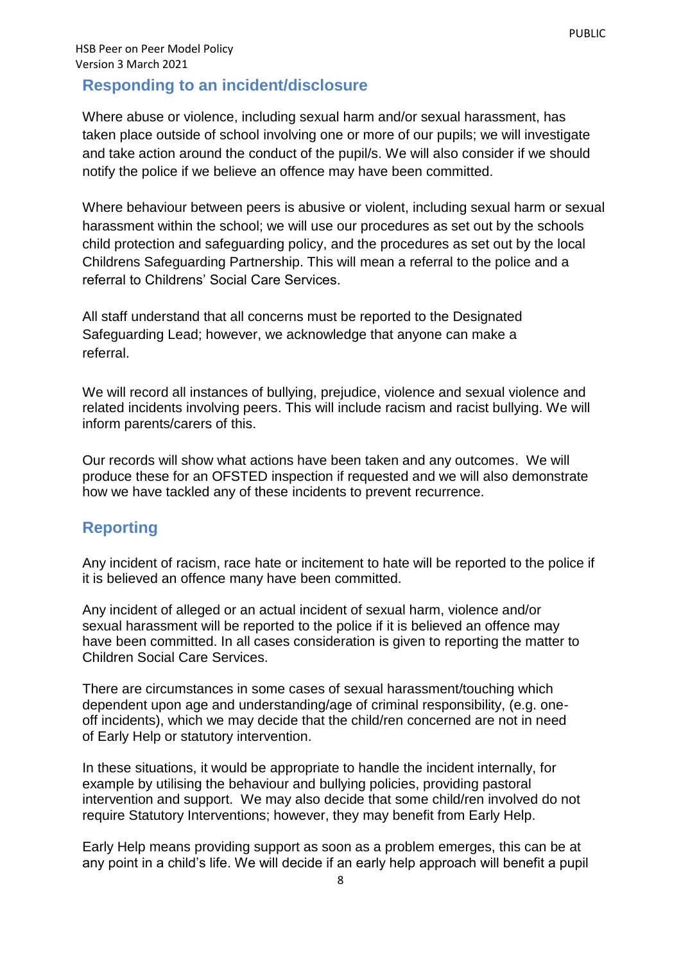#### **Responding to an incident/disclosure**

Where abuse or violence, including sexual harm and/or sexual harassment, has taken place outside of school involving one or more of our pupils; we will investigate and take action around the conduct of the pupil/s. We will also consider if we should notify the police if we believe an offence may have been committed.

Where behaviour between peers is abusive or violent, including sexual harm or sexual harassment within the school; we will use our procedures as set out by the schools child protection and safeguarding policy, and the procedures as set out by the local Childrens Safeguarding Partnership. This will mean a referral to the police and a referral to Childrens' Social Care Services.

All staff understand that all concerns must be reported to the Designated Safeguarding Lead; however, we acknowledge that anyone can make a referral.

We will record all instances of bullying, prejudice, violence and sexual violence and related incidents involving peers. This will include racism and racist bullying. We will inform parents/carers of this.

Our records will show what actions have been taken and any outcomes. We will produce these for an OFSTED inspection if requested and we will also demonstrate how we have tackled any of these incidents to prevent recurrence.

#### **Reporting**

Any incident of racism, race hate or incitement to hate will be reported to the police if it is believed an offence many have been committed.

Any incident of alleged or an actual incident of sexual harm, violence and/or sexual harassment will be reported to the police if it is believed an offence may have been committed. In all cases consideration is given to reporting the matter to Children Social Care Services.

There are circumstances in some cases of sexual harassment/touching which dependent upon age and understanding/age of criminal responsibility, (e.g. oneoff incidents), which we may decide that the child/ren concerned are not in need of Early Help or statutory intervention.

In these situations, it would be appropriate to handle the incident internally, for example by utilising the behaviour and bullying policies, providing pastoral intervention and support. We may also decide that some child/ren involved do not require Statutory Interventions; however, they may benefit from Early Help.

Early Help means providing support as soon as a problem emerges, this can be at any point in a child's life. We will decide if an early help approach will benefit a pupil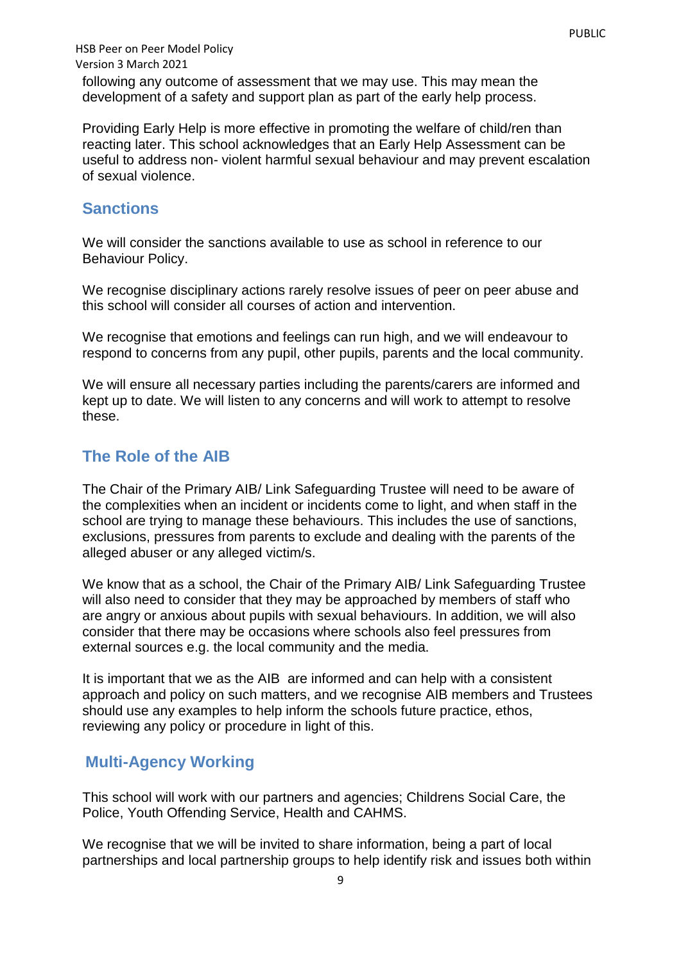HSB Peer on Peer Model Policy Version 3 March 2021 following any outcome of assessment that we may use. This may mean the development of a safety and support plan as part of the early help process.

Providing Early Help is more effective in promoting the welfare of child/ren than reacting later. This school acknowledges that an Early Help Assessment can be useful to address non- violent harmful sexual behaviour and may prevent escalation of sexual violence.

#### **Sanctions**

We will consider the sanctions available to use as school in reference to our Behaviour Policy.

We recognise disciplinary actions rarely resolve issues of peer on peer abuse and this school will consider all courses of action and intervention.

We recognise that emotions and feelings can run high, and we will endeavour to respond to concerns from any pupil, other pupils, parents and the local community.

We will ensure all necessary parties including the parents/carers are informed and kept up to date. We will listen to any concerns and will work to attempt to resolve these.

#### **The Role of the AIB**

The Chair of the Primary AIB/ Link Safeguarding Trustee will need to be aware of the complexities when an incident or incidents come to light, and when staff in the school are trying to manage these behaviours. This includes the use of sanctions, exclusions, pressures from parents to exclude and dealing with the parents of the alleged abuser or any alleged victim/s.

We know that as a school, the Chair of the Primary AIB/ Link Safeguarding Trustee will also need to consider that they may be approached by members of staff who are angry or anxious about pupils with sexual behaviours. In addition, we will also consider that there may be occasions where schools also feel pressures from external sources e.g. the local community and the media.

It is important that we as the AIB are informed and can help with a consistent approach and policy on such matters, and we recognise AIB members and Trustees should use any examples to help inform the schools future practice, ethos, reviewing any policy or procedure in light of this.

## **Multi-Agency Working**

This school will work with our partners and agencies; Childrens Social Care, the Police, Youth Offending Service, Health and CAHMS.

We recognise that we will be invited to share information, being a part of local partnerships and local partnership groups to help identify risk and issues both within